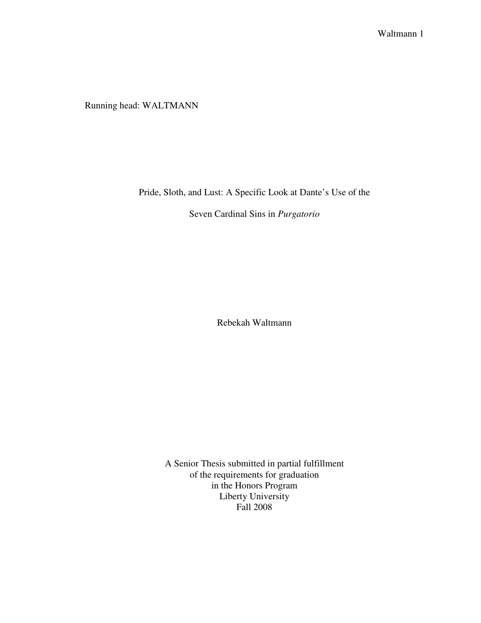Running head: WALTMANN

Pride, Sloth, and Lust: A Specific Look at Dante's Use of the

Seven Cardinal Sins in *Purgatorio* 

Rebekah Waltmann

A Senior Thesis submitted in partial fulfillment of the requirements for graduation in the Honors Program Liberty University Fall 2008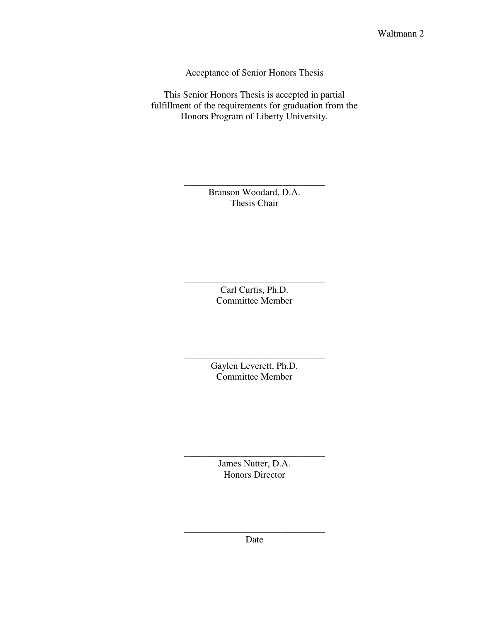Acceptance of Senior Honors Thesis

This Senior Honors Thesis is accepted in partial fulfillment of the requirements for graduation from the Honors Program of Liberty University.

> Branson Woodard, D.A. Thesis Chair

\_\_\_\_\_\_\_\_\_\_\_\_\_\_\_\_\_\_\_\_\_\_\_\_\_\_\_\_\_\_

Carl Curtis, Ph.D. Committee Member

\_\_\_\_\_\_\_\_\_\_\_\_\_\_\_\_\_\_\_\_\_\_\_\_\_\_\_\_\_\_

Gaylen Leverett, Ph.D. Committee Member

\_\_\_\_\_\_\_\_\_\_\_\_\_\_\_\_\_\_\_\_\_\_\_\_\_\_\_\_\_\_

James Nutter, D.A. Honors Director

\_\_\_\_\_\_\_\_\_\_\_\_\_\_\_\_\_\_\_\_\_\_\_\_\_\_\_\_\_\_

\_\_\_\_\_\_\_\_\_\_\_\_\_\_\_\_\_\_\_\_\_\_\_\_\_\_\_\_\_\_ Date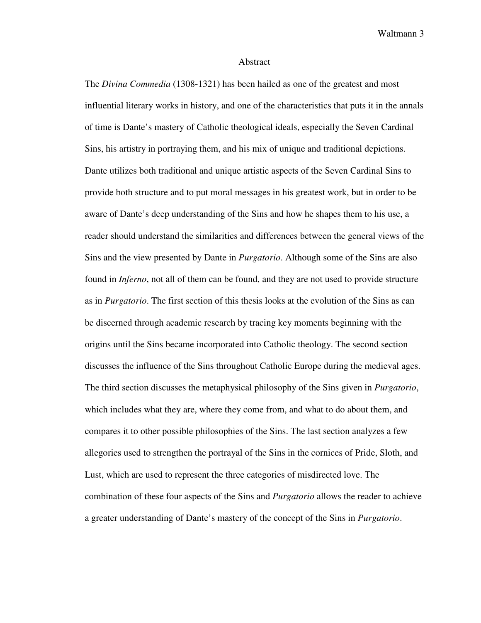## Abstract

The *Divina Commedia* (1308-1321) has been hailed as one of the greatest and most influential literary works in history, and one of the characteristics that puts it in the annals of time is Dante's mastery of Catholic theological ideals, especially the Seven Cardinal Sins, his artistry in portraying them, and his mix of unique and traditional depictions. Dante utilizes both traditional and unique artistic aspects of the Seven Cardinal Sins to provide both structure and to put moral messages in his greatest work, but in order to be aware of Dante's deep understanding of the Sins and how he shapes them to his use, a reader should understand the similarities and differences between the general views of the Sins and the view presented by Dante in *Purgatorio*. Although some of the Sins are also found in *Inferno*, not all of them can be found, and they are not used to provide structure as in *Purgatorio*. The first section of this thesis looks at the evolution of the Sins as can be discerned through academic research by tracing key moments beginning with the origins until the Sins became incorporated into Catholic theology. The second section discusses the influence of the Sins throughout Catholic Europe during the medieval ages. The third section discusses the metaphysical philosophy of the Sins given in *Purgatorio*, which includes what they are, where they come from, and what to do about them, and compares it to other possible philosophies of the Sins. The last section analyzes a few allegories used to strengthen the portrayal of the Sins in the cornices of Pride, Sloth, and Lust, which are used to represent the three categories of misdirected love. The combination of these four aspects of the Sins and *Purgatorio* allows the reader to achieve a greater understanding of Dante's mastery of the concept of the Sins in *Purgatorio*.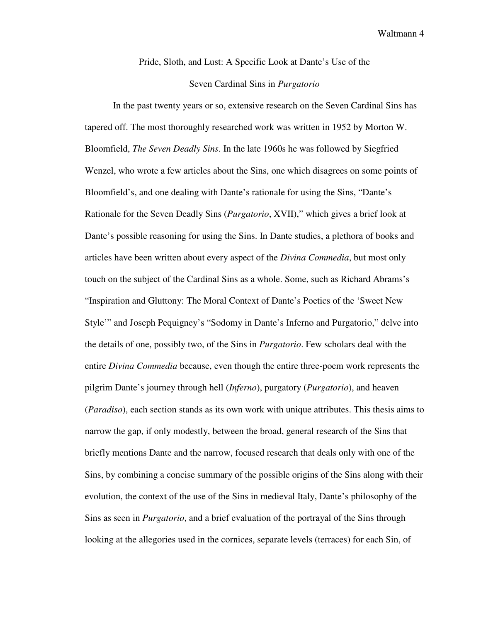Pride, Sloth, and Lust: A Specific Look at Dante's Use of the

# Seven Cardinal Sins in *Purgatorio*

 In the past twenty years or so, extensive research on the Seven Cardinal Sins has tapered off. The most thoroughly researched work was written in 1952 by Morton W. Bloomfield, *The Seven Deadly Sins*. In the late 1960s he was followed by Siegfried Wenzel, who wrote a few articles about the Sins, one which disagrees on some points of Bloomfield's, and one dealing with Dante's rationale for using the Sins, "Dante's Rationale for the Seven Deadly Sins (*Purgatorio*, XVII)," which gives a brief look at Dante's possible reasoning for using the Sins. In Dante studies, a plethora of books and articles have been written about every aspect of the *Divina Commedia*, but most only touch on the subject of the Cardinal Sins as a whole. Some, such as Richard Abrams's "Inspiration and Gluttony: The Moral Context of Dante's Poetics of the 'Sweet New Style'" and Joseph Pequigney's "Sodomy in Dante's Inferno and Purgatorio," delve into the details of one, possibly two, of the Sins in *Purgatorio*. Few scholars deal with the entire *Divina Commedia* because, even though the entire three-poem work represents the pilgrim Dante's journey through hell (*Inferno*), purgatory (*Purgatorio*), and heaven (*Paradiso*), each section stands as its own work with unique attributes. This thesis aims to narrow the gap, if only modestly, between the broad, general research of the Sins that briefly mentions Dante and the narrow, focused research that deals only with one of the Sins, by combining a concise summary of the possible origins of the Sins along with their evolution, the context of the use of the Sins in medieval Italy, Dante's philosophy of the Sins as seen in *Purgatorio*, and a brief evaluation of the portrayal of the Sins through looking at the allegories used in the cornices, separate levels (terraces) for each Sin, of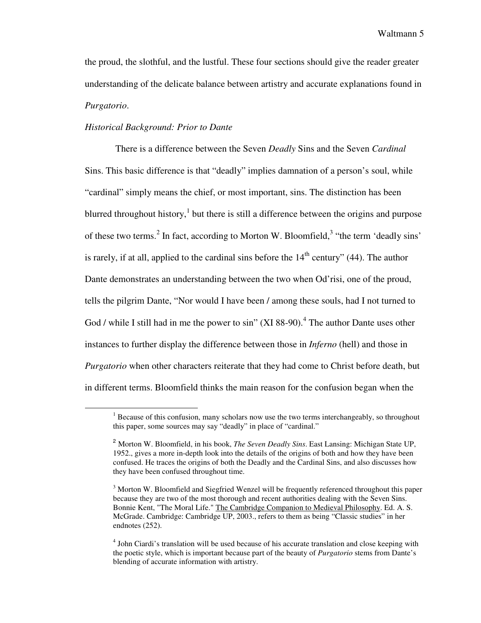the proud, the slothful, and the lustful. These four sections should give the reader greater understanding of the delicate balance between artistry and accurate explanations found in *Purgatorio*.

# *Historical Background: Prior to Dante*

 $\overline{a}$ 

 There is a difference between the Seven *Deadly* Sins and the Seven *Cardinal* Sins. This basic difference is that "deadly" implies damnation of a person's soul, while "cardinal" simply means the chief, or most important, sins. The distinction has been blurred throughout history, $<sup>1</sup>$  but there is still a difference between the origins and purpose</sup> of these two terms.<sup>2</sup> In fact, according to Morton W. Bloomfield,<sup>3</sup> "the term 'deadly sins' is rarely, if at all, applied to the cardinal sins before the  $14<sup>th</sup>$  century" (44). The author Dante demonstrates an understanding between the two when Od'risi, one of the proud, tells the pilgrim Dante, "Nor would I have been / among these souls, had I not turned to God / while I still had in me the power to sin"  $(XI 88-90)$ .<sup>4</sup> The author Dante uses other instances to further display the difference between those in *Inferno* (hell) and those in *Purgatorio* when other characters reiterate that they had come to Christ before death, but in different terms. Bloomfield thinks the main reason for the confusion began when the

<sup>&</sup>lt;sup>1</sup> Because of this confusion, many scholars now use the two terms interchangeably, so throughout this paper, some sources may say "deadly" in place of "cardinal."

<sup>2</sup> Morton W. Bloomfield, in his book, *The Seven Deadly Sins*. East Lansing: Michigan State UP, 1952., gives a more in-depth look into the details of the origins of both and how they have been confused. He traces the origins of both the Deadly and the Cardinal Sins, and also discusses how they have been confused throughout time.

 $3$  Morton W. Bloomfield and Siegfried Wenzel will be frequently referenced throughout this paper because they are two of the most thorough and recent authorities dealing with the Seven Sins. Bonnie Kent, "The Moral Life." The Cambridge Companion to Medieval Philosophy. Ed. A. S. McGrade. Cambridge: Cambridge UP, 2003., refers to them as being "Classic studies" in her endnotes (252).

<sup>&</sup>lt;sup>4</sup> John Ciardi's translation will be used because of his accurate translation and close keeping with the poetic style, which is important because part of the beauty of *Purgatorio* stems from Dante's blending of accurate information with artistry.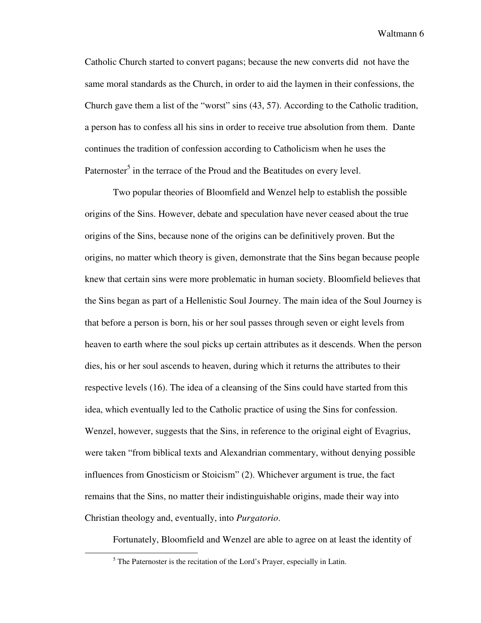Catholic Church started to convert pagans; because the new converts did not have the same moral standards as the Church, in order to aid the laymen in their confessions, the Church gave them a list of the "worst" sins (43, 57). According to the Catholic tradition, a person has to confess all his sins in order to receive true absolution from them. Dante continues the tradition of confession according to Catholicism when he uses the Paternoster<sup>5</sup> in the terrace of the Proud and the Beatitudes on every level.

 Two popular theories of Bloomfield and Wenzel help to establish the possible origins of the Sins. However, debate and speculation have never ceased about the true origins of the Sins, because none of the origins can be definitively proven. But the origins, no matter which theory is given, demonstrate that the Sins began because people knew that certain sins were more problematic in human society. Bloomfield believes that the Sins began as part of a Hellenistic Soul Journey. The main idea of the Soul Journey is that before a person is born, his or her soul passes through seven or eight levels from heaven to earth where the soul picks up certain attributes as it descends. When the person dies, his or her soul ascends to heaven, during which it returns the attributes to their respective levels (16). The idea of a cleansing of the Sins could have started from this idea, which eventually led to the Catholic practice of using the Sins for confession. Wenzel, however, suggests that the Sins, in reference to the original eight of Evagrius, were taken "from biblical texts and Alexandrian commentary, without denying possible influences from Gnosticism or Stoicism" (2). Whichever argument is true, the fact remains that the Sins, no matter their indistinguishable origins, made their way into Christian theology and, eventually, into *Purgatorio*.

Fortunately, Bloomfield and Wenzel are able to agree on at least the identity of

<sup>&</sup>lt;sup>5</sup> The Paternoster is the recitation of the Lord's Prayer, especially in Latin.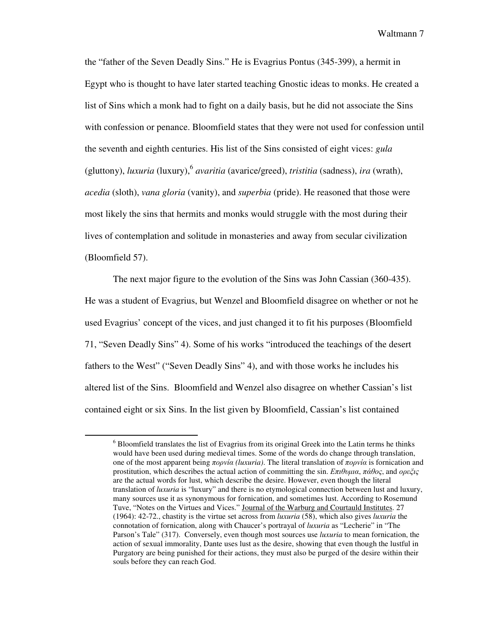the "father of the Seven Deadly Sins." He is Evagrius Pontus (345-399), a hermit in Egypt who is thought to have later started teaching Gnostic ideas to monks. He created a list of Sins which a monk had to fight on a daily basis, but he did not associate the Sins with confession or penance. Bloomfield states that they were not used for confession until the seventh and eighth centuries. His list of the Sins consisted of eight vices: *gula* (gluttony), *luxuria* (luxury), <sup>6</sup> *avaritia* (avarice/greed), *tristitia* (sadness), *ira* (wrath), *acedia* (sloth), *vana gloria* (vanity), and *superbia* (pride). He reasoned that those were most likely the sins that hermits and monks would struggle with the most during their lives of contemplation and solitude in monasteries and away from secular civilization (Bloomfield 57).

 The next major figure to the evolution of the Sins was John Cassian (360-435). He was a student of Evagrius, but Wenzel and Bloomfield disagree on whether or not he used Evagrius' concept of the vices, and just changed it to fit his purposes (Bloomfield 71, "Seven Deadly Sins" 4). Some of his works "introduced the teachings of the desert fathers to the West" ("Seven Deadly Sins" 4), and with those works he includes his altered list of the Sins. Bloomfield and Wenzel also disagree on whether Cassian's list contained eight or six Sins. In the list given by Bloomfield, Cassian's list contained

 $<sup>6</sup>$  Bloomfield translates the list of Evagrius from its original Greek into the Latin terms he thinks</sup> would have been used during medieval times. Some of the words do change through translation, one of the most apparent being πορνία *(luxuria)*. The literal translation of πορνία is fornication and prostitution, which describes the actual action of committing the sin.  $E\pi\theta$ υμια,  $\pi\dot{\alpha}\theta$ ος, and ορεξις are the actual words for lust, which describe the desire. However, even though the literal translation of *luxuria* is "luxury" and there is no etymological connection between lust and luxury, many sources use it as synonymous for fornication, and sometimes lust. According to Rosemund Tuve, "Notes on the Virtues and Vices." Journal of the Warburg and Courtauld Institutes. 27 (1964): 42-72., chastity is the virtue set across from *luxuria* (58), which also gives *luxuria* the connotation of fornication, along with Chaucer's portrayal of *luxuria* as "Lecherie" in "The Parson's Tale" (317). Conversely, even though most sources use *luxuria* to mean fornication, the action of sexual immorality, Dante uses lust as the desire, showing that even though the lustful in Purgatory are being punished for their actions, they must also be purged of the desire within their souls before they can reach God.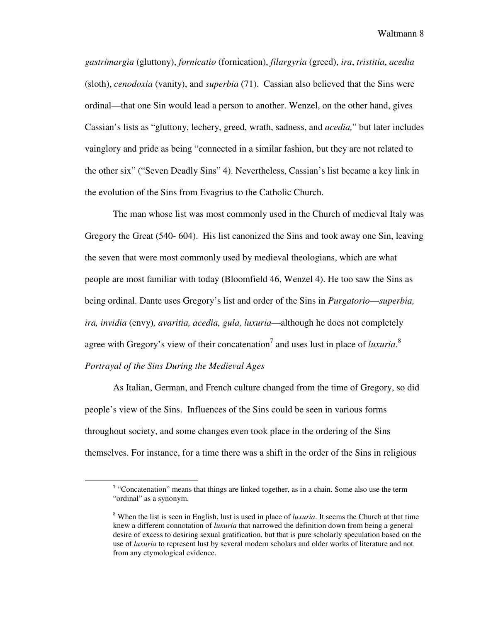*gastrimargia* (gluttony), *fornicatio* (fornication), *filargyria* (greed), *ira*, *tristitia*, *acedia*  (sloth), *cenodoxia* (vanity), and *superbia* (71). Cassian also believed that the Sins were ordinal—that one Sin would lead a person to another. Wenzel, on the other hand, gives Cassian's lists as "gluttony, lechery, greed, wrath, sadness, and *acedia,*" but later includes vainglory and pride as being "connected in a similar fashion, but they are not related to the other six" ("Seven Deadly Sins" 4). Nevertheless, Cassian's list became a key link in the evolution of the Sins from Evagrius to the Catholic Church.

The man whose list was most commonly used in the Church of medieval Italy was Gregory the Great (540- 604). His list canonized the Sins and took away one Sin, leaving the seven that were most commonly used by medieval theologians, which are what people are most familiar with today (Bloomfield 46, Wenzel 4). He too saw the Sins as being ordinal. Dante uses Gregory's list and order of the Sins in *Purgatorio*—*superbia, ira, invidia* (envy)*, avaritia, acedia, gula, luxuria*—although he does not completely agree with Gregory's view of their concatenation<sup>7</sup> and uses lust in place of *luxuria*.<sup>8</sup> *Portrayal of the Sins During the Medieval Ages* 

 As Italian, German, and French culture changed from the time of Gregory, so did people's view of the Sins. Influences of the Sins could be seen in various forms throughout society, and some changes even took place in the ordering of the Sins themselves. For instance, for a time there was a shift in the order of the Sins in religious

 $7$  "Concatenation" means that things are linked together, as in a chain. Some also use the term "ordinal" as a synonym.

<sup>8</sup> When the list is seen in English, lust is used in place of *luxuria*. It seems the Church at that time knew a different connotation of *luxuria* that narrowed the definition down from being a general desire of excess to desiring sexual gratification, but that is pure scholarly speculation based on the use of *luxuria* to represent lust by several modern scholars and older works of literature and not from any etymological evidence.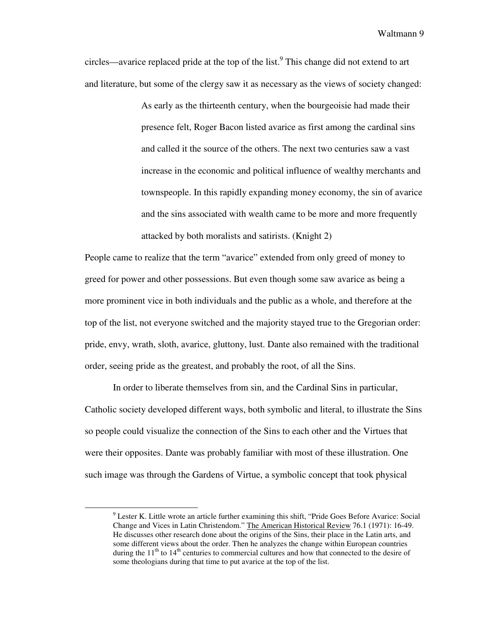circles—avarice replaced pride at the top of the list.<sup>9</sup> This change did not extend to art and literature, but some of the clergy saw it as necessary as the views of society changed:

> As early as the thirteenth century, when the bourgeoisie had made their presence felt, Roger Bacon listed avarice as first among the cardinal sins and called it the source of the others. The next two centuries saw a vast increase in the economic and political influence of wealthy merchants and townspeople. In this rapidly expanding money economy, the sin of avarice and the sins associated with wealth came to be more and more frequently attacked by both moralists and satirists. (Knight 2)

People came to realize that the term "avarice" extended from only greed of money to greed for power and other possessions. But even though some saw avarice as being a more prominent vice in both individuals and the public as a whole, and therefore at the top of the list, not everyone switched and the majority stayed true to the Gregorian order: pride, envy, wrath, sloth, avarice, gluttony, lust. Dante also remained with the traditional order, seeing pride as the greatest, and probably the root, of all the Sins.

 In order to liberate themselves from sin, and the Cardinal Sins in particular, Catholic society developed different ways, both symbolic and literal, to illustrate the Sins so people could visualize the connection of the Sins to each other and the Virtues that were their opposites. Dante was probably familiar with most of these illustration. One such image was through the Gardens of Virtue, a symbolic concept that took physical

<sup>&</sup>lt;sup>9</sup> Lester K. Little wrote an article further examining this shift, "Pride Goes Before Avarice: Social Change and Vices in Latin Christendom." The American Historical Review 76.1 (1971): 16-49. He discusses other research done about the origins of the Sins, their place in the Latin arts, and some different views about the order. Then he analyzes the change within European countries during the  $11<sup>th</sup>$  to  $14<sup>th</sup>$  centuries to commercial cultures and how that connected to the desire of some theologians during that time to put avarice at the top of the list.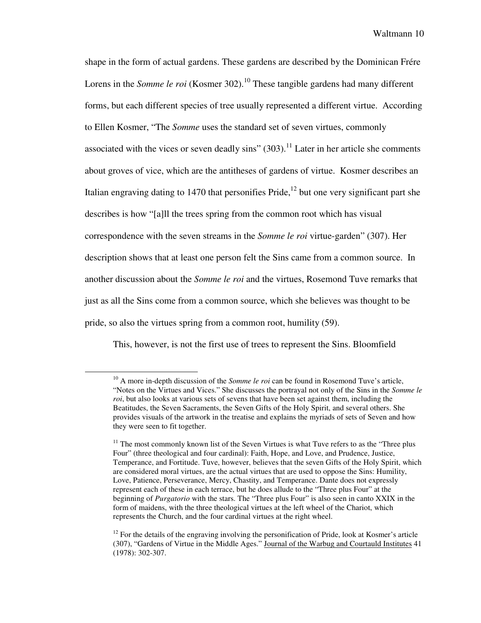shape in the form of actual gardens. These gardens are described by the Dominican Frére Lorens in the *Somme le roi* (Kosmer 302).<sup>10</sup> These tangible gardens had many different forms, but each different species of tree usually represented a different virtue. According to Ellen Kosmer, "The *Somme* uses the standard set of seven virtues, commonly associated with the vices or seven deadly sins"  $(303)$ .<sup>11</sup> Later in her article she comments about groves of vice, which are the antitheses of gardens of virtue. Kosmer describes an Italian engraving dating to 1470 that personifies Pride,<sup>12</sup> but one very significant part she describes is how "[a]ll the trees spring from the common root which has visual correspondence with the seven streams in the *Somme le roi* virtue-garden" (307). Her description shows that at least one person felt the Sins came from a common source. In another discussion about the *Somme le roi* and the virtues, Rosemond Tuve remarks that just as all the Sins come from a common source, which she believes was thought to be pride, so also the virtues spring from a common root, humility (59).

This, however, is not the first use of trees to represent the Sins. Bloomfield

<sup>&</sup>lt;sup>10</sup> A more in-depth discussion of the *Somme le roi* can be found in Rosemond Tuve's article, "Notes on the Virtues and Vices." She discusses the portrayal not only of the Sins in the *Somme le roi*, but also looks at various sets of sevens that have been set against them, including the Beatitudes, the Seven Sacraments, the Seven Gifts of the Holy Spirit, and several others. She provides visuals of the artwork in the treatise and explains the myriads of sets of Seven and how they were seen to fit together.

 $11$ <sup>11</sup> The most commonly known list of the Seven Virtues is what Tuve refers to as the "Three plus" Four" (three theological and four cardinal): Faith, Hope, and Love, and Prudence, Justice, Temperance, and Fortitude. Tuve, however, believes that the seven Gifts of the Holy Spirit, which are considered moral virtues, are the actual virtues that are used to oppose the Sins: Humility, Love, Patience, Perseverance, Mercy, Chastity, and Temperance. Dante does not expressly represent each of these in each terrace, but he does allude to the "Three plus Four" at the beginning of *Purgatorio* with the stars. The "Three plus Four" is also seen in canto XXIX in the form of maidens, with the three theological virtues at the left wheel of the Chariot, which represents the Church, and the four cardinal virtues at the right wheel.

 $12$  For the details of the engraving involving the personification of Pride, look at Kosmer's article (307), "Gardens of Virtue in the Middle Ages." Journal of the Warbug and Courtauld Institutes 41 (1978): 302-307.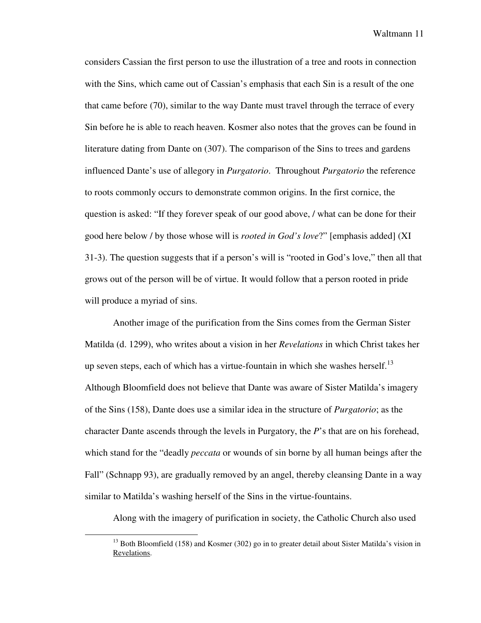considers Cassian the first person to use the illustration of a tree and roots in connection with the Sins, which came out of Cassian's emphasis that each Sin is a result of the one that came before (70), similar to the way Dante must travel through the terrace of every Sin before he is able to reach heaven. Kosmer also notes that the groves can be found in literature dating from Dante on (307). The comparison of the Sins to trees and gardens influenced Dante's use of allegory in *Purgatorio*. Throughout *Purgatorio* the reference to roots commonly occurs to demonstrate common origins. In the first cornice, the question is asked: "If they forever speak of our good above, / what can be done for their good here below / by those whose will is *rooted in God's love*?" [emphasis added] (XI 31-3). The question suggests that if a person's will is "rooted in God's love," then all that grows out of the person will be of virtue. It would follow that a person rooted in pride will produce a myriad of sins.

 Another image of the purification from the Sins comes from the German Sister Matilda (d. 1299), who writes about a vision in her *Revelations* in which Christ takes her up seven steps, each of which has a virtue-fountain in which she washes herself.<sup>13</sup> Although Bloomfield does not believe that Dante was aware of Sister Matilda's imagery of the Sins (158), Dante does use a similar idea in the structure of *Purgatorio*; as the character Dante ascends through the levels in Purgatory, the *P*'s that are on his forehead, which stand for the "deadly *peccata* or wounds of sin borne by all human beings after the Fall" (Schnapp 93), are gradually removed by an angel, thereby cleansing Dante in a way similar to Matilda's washing herself of the Sins in the virtue-fountains.

Along with the imagery of purification in society, the Catholic Church also used

<sup>&</sup>lt;sup>13</sup> Both Bloomfield (158) and Kosmer (302) go in to greater detail about Sister Matilda's vision in Revelations.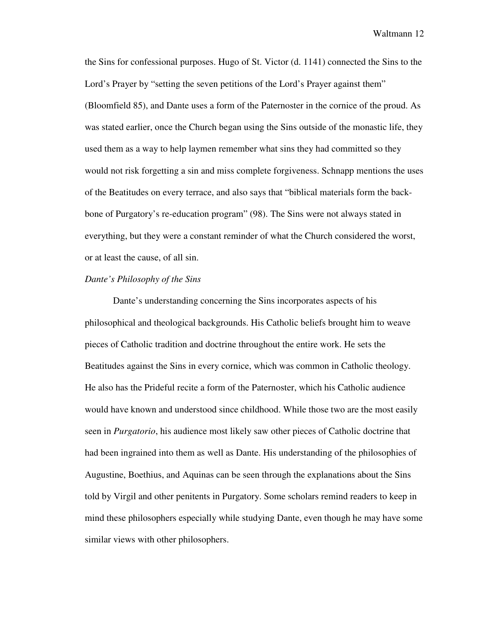the Sins for confessional purposes. Hugo of St. Victor (d. 1141) connected the Sins to the Lord's Prayer by "setting the seven petitions of the Lord's Prayer against them" (Bloomfield 85), and Dante uses a form of the Paternoster in the cornice of the proud. As was stated earlier, once the Church began using the Sins outside of the monastic life, they used them as a way to help laymen remember what sins they had committed so they would not risk forgetting a sin and miss complete forgiveness. Schnapp mentions the uses of the Beatitudes on every terrace, and also says that "biblical materials form the backbone of Purgatory's re-education program" (98). The Sins were not always stated in everything, but they were a constant reminder of what the Church considered the worst, or at least the cause, of all sin.

### *Dante's Philosophy of the Sins*

Dante's understanding concerning the Sins incorporates aspects of his philosophical and theological backgrounds. His Catholic beliefs brought him to weave pieces of Catholic tradition and doctrine throughout the entire work. He sets the Beatitudes against the Sins in every cornice, which was common in Catholic theology. He also has the Prideful recite a form of the Paternoster, which his Catholic audience would have known and understood since childhood. While those two are the most easily seen in *Purgatorio*, his audience most likely saw other pieces of Catholic doctrine that had been ingrained into them as well as Dante. His understanding of the philosophies of Augustine, Boethius, and Aquinas can be seen through the explanations about the Sins told by Virgil and other penitents in Purgatory. Some scholars remind readers to keep in mind these philosophers especially while studying Dante, even though he may have some similar views with other philosophers.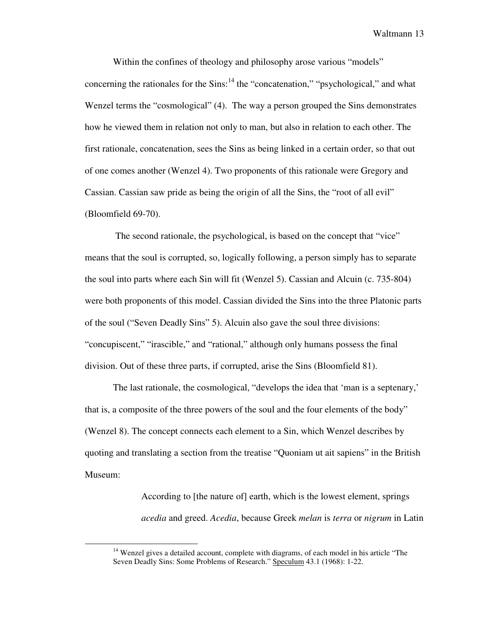Within the confines of theology and philosophy arose various "models" concerning the rationales for the  $Sins$ <sup>14</sup> the "concatenation," "psychological," and what Wenzel terms the "cosmological" (4). The way a person grouped the Sins demonstrates how he viewed them in relation not only to man, but also in relation to each other. The first rationale, concatenation, sees the Sins as being linked in a certain order, so that out of one comes another (Wenzel 4). Two proponents of this rationale were Gregory and Cassian. Cassian saw pride as being the origin of all the Sins, the "root of all evil" (Bloomfield 69-70).

 The second rationale, the psychological, is based on the concept that "vice" means that the soul is corrupted, so, logically following, a person simply has to separate the soul into parts where each Sin will fit (Wenzel 5). Cassian and Alcuin (c. 735-804) were both proponents of this model. Cassian divided the Sins into the three Platonic parts of the soul ("Seven Deadly Sins" 5). Alcuin also gave the soul three divisions: "concupiscent," "irascible," and "rational," although only humans possess the final division. Out of these three parts, if corrupted, arise the Sins (Bloomfield 81).

The last rationale, the cosmological, "develops the idea that 'man is a septenary,' that is, a composite of the three powers of the soul and the four elements of the body" (Wenzel 8). The concept connects each element to a Sin, which Wenzel describes by quoting and translating a section from the treatise "Quoniam ut ait sapiens" in the British Museum:

> According to [the nature of] earth, which is the lowest element, springs *acedia* and greed. *Acedia*, because Greek *melan* is *terra* or *nigrum* in Latin

 $14$  Wenzel gives a detailed account, complete with diagrams, of each model in his article "The Seven Deadly Sins: Some Problems of Research." Speculum 43.1 (1968): 1-22.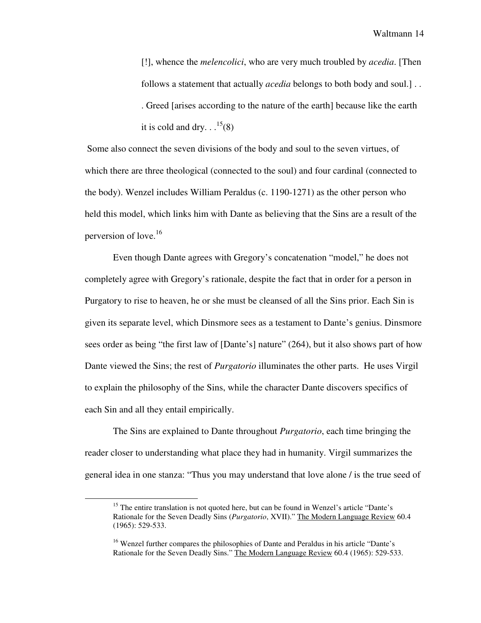[!], whence the *melencolici*, who are very much troubled by *acedia*. [Then follows a statement that actually *acedia* belongs to both body and soul.] . . . Greed [arises according to the nature of the earth] because like the earth it is cold and dry.  $\cdot \cdot \cdot^{15}(8)$ 

 Some also connect the seven divisions of the body and soul to the seven virtues, of which there are three theological (connected to the soul) and four cardinal (connected to the body). Wenzel includes William Peraldus (c. 1190-1271) as the other person who held this model, which links him with Dante as believing that the Sins are a result of the perversion of love.<sup>16</sup>

 Even though Dante agrees with Gregory's concatenation "model," he does not completely agree with Gregory's rationale, despite the fact that in order for a person in Purgatory to rise to heaven, he or she must be cleansed of all the Sins prior. Each Sin is given its separate level, which Dinsmore sees as a testament to Dante's genius. Dinsmore sees order as being "the first law of [Dante's] nature" (264), but it also shows part of how Dante viewed the Sins; the rest of *Purgatorio* illuminates the other parts. He uses Virgil to explain the philosophy of the Sins, while the character Dante discovers specifics of each Sin and all they entail empirically.

 The Sins are explained to Dante throughout *Purgatorio*, each time bringing the reader closer to understanding what place they had in humanity. Virgil summarizes the general idea in one stanza: "Thus you may understand that love alone / is the true seed of

<sup>&</sup>lt;sup>15</sup> The entire translation is not quoted here, but can be found in Wenzel's article "Dante's Rationale for the Seven Deadly Sins (*Purgatorio*, XVII)." The Modern Language Review 60.4 (1965): 529-533.

<sup>&</sup>lt;sup>16</sup> Wenzel further compares the philosophies of Dante and Peraldus in his article "Dante's Rationale for the Seven Deadly Sins." The Modern Language Review 60.4 (1965): 529-533.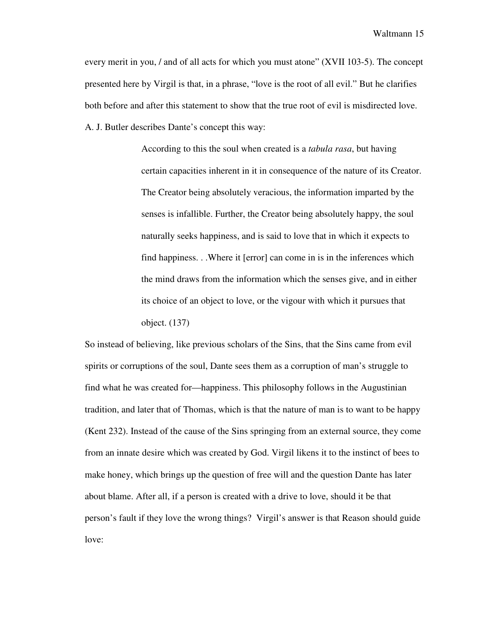every merit in you, / and of all acts for which you must atone" (XVII 103-5). The concept presented here by Virgil is that, in a phrase, "love is the root of all evil." But he clarifies both before and after this statement to show that the true root of evil is misdirected love. A. J. Butler describes Dante's concept this way:

> According to this the soul when created is a *tabula rasa*, but having certain capacities inherent in it in consequence of the nature of its Creator. The Creator being absolutely veracious, the information imparted by the senses is infallible. Further, the Creator being absolutely happy, the soul naturally seeks happiness, and is said to love that in which it expects to find happiness. . .Where it [error] can come in is in the inferences which the mind draws from the information which the senses give, and in either its choice of an object to love, or the vigour with which it pursues that object. (137)

So instead of believing, like previous scholars of the Sins, that the Sins came from evil spirits or corruptions of the soul, Dante sees them as a corruption of man's struggle to find what he was created for—happiness. This philosophy follows in the Augustinian tradition, and later that of Thomas, which is that the nature of man is to want to be happy (Kent 232). Instead of the cause of the Sins springing from an external source, they come from an innate desire which was created by God. Virgil likens it to the instinct of bees to make honey, which brings up the question of free will and the question Dante has later about blame. After all, if a person is created with a drive to love, should it be that person's fault if they love the wrong things? Virgil's answer is that Reason should guide love: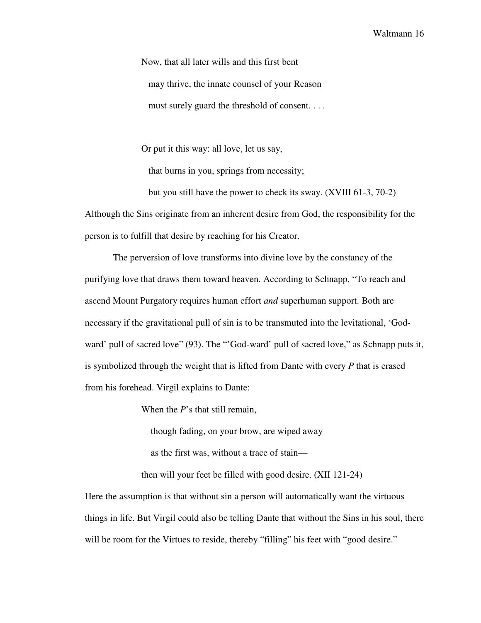Now, that all later wills and this first bent may thrive, the innate counsel of your Reason must surely guard the threshold of consent. . . .

Or put it this way: all love, let us say,

that burns in you, springs from necessity;

 but you still have the power to check its sway. (XVIII 61-3, 70-2) Although the Sins originate from an inherent desire from God, the responsibility for the person is to fulfill that desire by reaching for his Creator.

The perversion of love transforms into divine love by the constancy of the purifying love that draws them toward heaven. According to Schnapp, "To reach and ascend Mount Purgatory requires human effort *and* superhuman support. Both are necessary if the gravitational pull of sin is to be transmuted into the levitational, 'Godward' pull of sacred love" (93). The "'God-ward' pull of sacred love," as Schnapp puts it, is symbolized through the weight that is lifted from Dante with every *P* that is erased from his forehead. Virgil explains to Dante:

When the *P*'s that still remain,

though fading, on your brow, are wiped away

as the first was, without a trace of stain—

then will your feet be filled with good desire. (XII 121-24)

Here the assumption is that without sin a person will automatically want the virtuous things in life. But Virgil could also be telling Dante that without the Sins in his soul, there will be room for the Virtues to reside, thereby "filling" his feet with "good desire."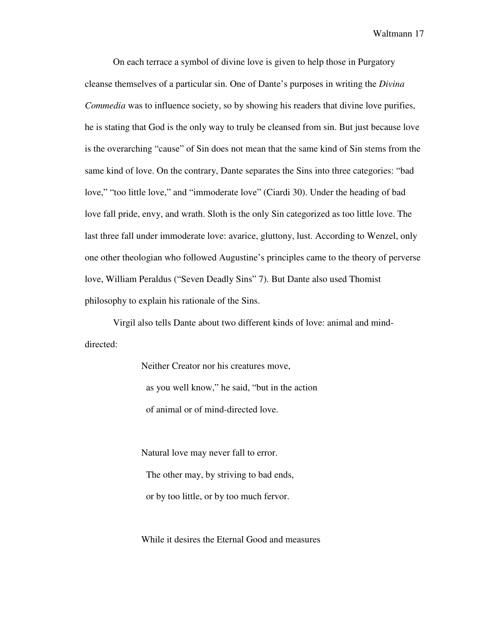On each terrace a symbol of divine love is given to help those in Purgatory cleanse themselves of a particular sin. One of Dante's purposes in writing the *Divina Commedia* was to influence society, so by showing his readers that divine love purifies, he is stating that God is the only way to truly be cleansed from sin. But just because love is the overarching "cause" of Sin does not mean that the same kind of Sin stems from the same kind of love. On the contrary, Dante separates the Sins into three categories: "bad love," "too little love," and "immoderate love" (Ciardi 30). Under the heading of bad love fall pride, envy, and wrath. Sloth is the only Sin categorized as too little love. The last three fall under immoderate love: avarice, gluttony, lust. According to Wenzel, only one other theologian who followed Augustine's principles came to the theory of perverse love, William Peraldus ("Seven Deadly Sins" 7). But Dante also used Thomist philosophy to explain his rationale of the Sins.

Virgil also tells Dante about two different kinds of love: animal and minddirected:

> Neither Creator nor his creatures move, as you well know," he said, "but in the action of animal or of mind-directed love.

Natural love may never fall to error. The other may, by striving to bad ends, or by too little, or by too much fervor.

While it desires the Eternal Good and measures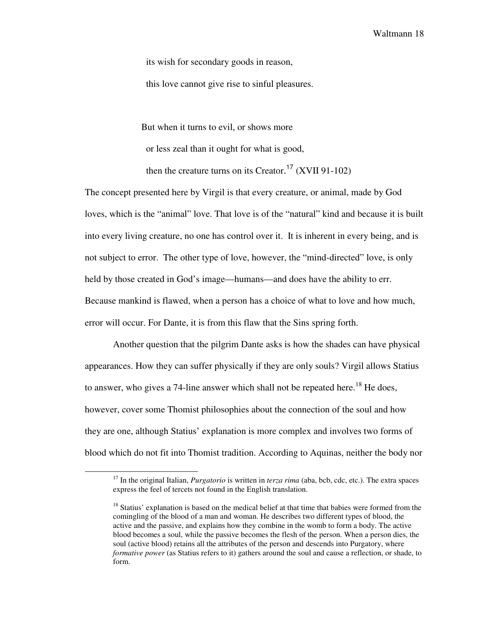its wish for secondary goods in reason,

this love cannot give rise to sinful pleasures.

But when it turns to evil, or shows more

or less zeal than it ought for what is good,

then the creature turns on its Creator. <sup>17</sup> (XVII 91-102)

The concept presented here by Virgil is that every creature, or animal, made by God loves, which is the "animal" love. That love is of the "natural" kind and because it is built into every living creature, no one has control over it. It is inherent in every being, and is not subject to error. The other type of love, however, the "mind-directed" love, is only held by those created in God's image—humans—and does have the ability to err. Because mankind is flawed, when a person has a choice of what to love and how much, error will occur. For Dante, it is from this flaw that the Sins spring forth.

 Another question that the pilgrim Dante asks is how the shades can have physical appearances. How they can suffer physically if they are only souls? Virgil allows Statius to answer, who gives a 74-line answer which shall not be repeated here.<sup>18</sup> He does, however, cover some Thomist philosophies about the connection of the soul and how they are one, although Statius' explanation is more complex and involves two forms of blood which do not fit into Thomist tradition. According to Aquinas, neither the body nor

<sup>&</sup>lt;sup>17</sup> In the original Italian, *Purgatorio* is written in *terza rima* (aba, bcb, cdc, etc.). The extra spaces express the feel of tercets not found in the English translation.

<sup>&</sup>lt;sup>18</sup> Statius' explanation is based on the medical belief at that time that babies were formed from the comingling of the blood of a man and woman. He describes two different types of blood, the active and the passive, and explains how they combine in the womb to form a body. The active blood becomes a soul, while the passive becomes the flesh of the person. When a person dies, the soul (active blood) retains all the attributes of the person and descends into Purgatory, where *formative power* (as Statius refers to it) gathers around the soul and cause a reflection, or shade, to form.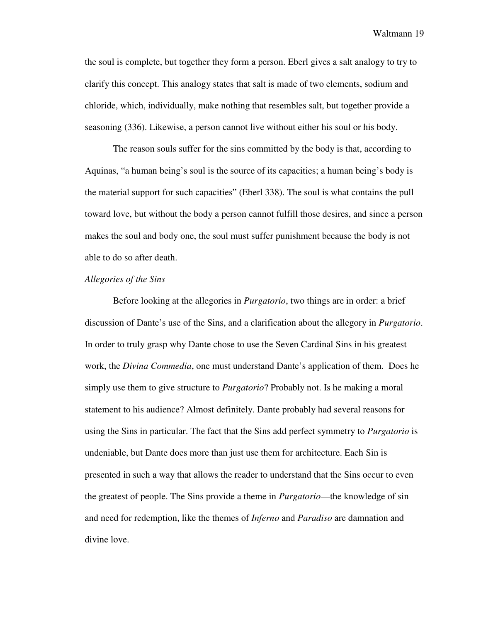the soul is complete, but together they form a person. Eberl gives a salt analogy to try to clarify this concept. This analogy states that salt is made of two elements, sodium and chloride, which, individually, make nothing that resembles salt, but together provide a seasoning (336). Likewise, a person cannot live without either his soul or his body.

 The reason souls suffer for the sins committed by the body is that, according to Aquinas, "a human being's soul is the source of its capacities; a human being's body is the material support for such capacities" (Eberl 338). The soul is what contains the pull toward love, but without the body a person cannot fulfill those desires, and since a person makes the soul and body one, the soul must suffer punishment because the body is not able to do so after death.

#### *Allegories of the Sins*

Before looking at the allegories in *Purgatorio*, two things are in order: a brief discussion of Dante's use of the Sins, and a clarification about the allegory in *Purgatorio*. In order to truly grasp why Dante chose to use the Seven Cardinal Sins in his greatest work, the *Divina Commedia*, one must understand Dante's application of them. Does he simply use them to give structure to *Purgatorio*? Probably not. Is he making a moral statement to his audience? Almost definitely. Dante probably had several reasons for using the Sins in particular. The fact that the Sins add perfect symmetry to *Purgatorio* is undeniable, but Dante does more than just use them for architecture. Each Sin is presented in such a way that allows the reader to understand that the Sins occur to even the greatest of people. The Sins provide a theme in *Purgatorio*—the knowledge of sin and need for redemption, like the themes of *Inferno* and *Paradiso* are damnation and divine love.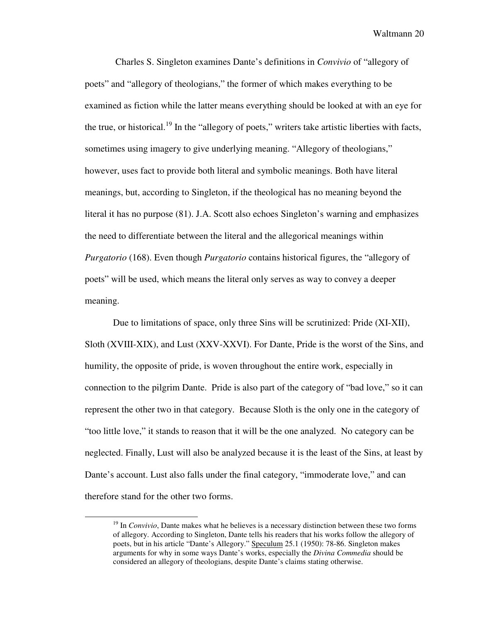Charles S. Singleton examines Dante's definitions in *Convivio* of "allegory of poets" and "allegory of theologians," the former of which makes everything to be examined as fiction while the latter means everything should be looked at with an eye for the true, or historical.<sup>19</sup> In the "allegory of poets," writers take artistic liberties with facts, sometimes using imagery to give underlying meaning. "Allegory of theologians," however, uses fact to provide both literal and symbolic meanings. Both have literal meanings, but, according to Singleton, if the theological has no meaning beyond the literal it has no purpose (81). J.A. Scott also echoes Singleton's warning and emphasizes the need to differentiate between the literal and the allegorical meanings within *Purgatorio* (168). Even though *Purgatorio* contains historical figures, the "allegory of poets" will be used, which means the literal only serves as way to convey a deeper meaning.

Due to limitations of space, only three Sins will be scrutinized: Pride (XI-XII), Sloth (XVIII-XIX), and Lust (XXV-XXVI). For Dante, Pride is the worst of the Sins, and humility, the opposite of pride, is woven throughout the entire work, especially in connection to the pilgrim Dante. Pride is also part of the category of "bad love," so it can represent the other two in that category. Because Sloth is the only one in the category of "too little love," it stands to reason that it will be the one analyzed. No category can be neglected. Finally, Lust will also be analyzed because it is the least of the Sins, at least by Dante's account. Lust also falls under the final category, "immoderate love," and can therefore stand for the other two forms.

<sup>&</sup>lt;sup>19</sup> In *Convivio*, Dante makes what he believes is a necessary distinction between these two forms of allegory. According to Singleton, Dante tells his readers that his works follow the allegory of poets, but in his article "Dante's Allegory." Speculum 25.1 (1950): 78-86. Singleton makes arguments for why in some ways Dante's works, especially the *Divina Commedia* should be considered an allegory of theologians, despite Dante's claims stating otherwise.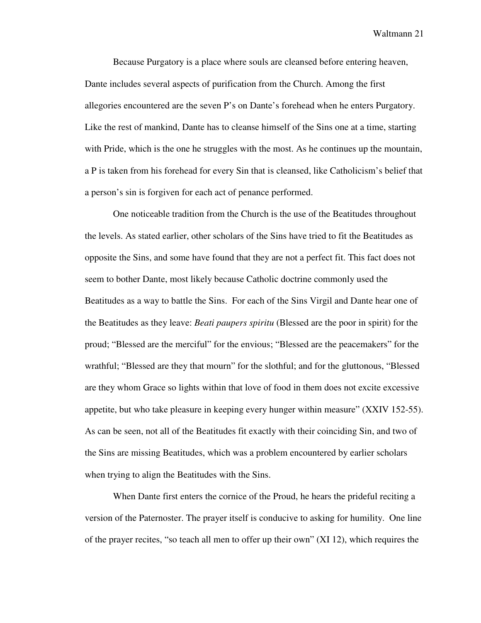Because Purgatory is a place where souls are cleansed before entering heaven, Dante includes several aspects of purification from the Church. Among the first allegories encountered are the seven P's on Dante's forehead when he enters Purgatory. Like the rest of mankind, Dante has to cleanse himself of the Sins one at a time, starting with Pride, which is the one he struggles with the most. As he continues up the mountain, a P is taken from his forehead for every Sin that is cleansed, like Catholicism's belief that a person's sin is forgiven for each act of penance performed.

One noticeable tradition from the Church is the use of the Beatitudes throughout the levels. As stated earlier, other scholars of the Sins have tried to fit the Beatitudes as opposite the Sins, and some have found that they are not a perfect fit. This fact does not seem to bother Dante, most likely because Catholic doctrine commonly used the Beatitudes as a way to battle the Sins. For each of the Sins Virgil and Dante hear one of the Beatitudes as they leave: *Beati paupers spiritu* (Blessed are the poor in spirit) for the proud; "Blessed are the merciful" for the envious; "Blessed are the peacemakers" for the wrathful; "Blessed are they that mourn" for the slothful; and for the gluttonous, "Blessed are they whom Grace so lights within that love of food in them does not excite excessive appetite, but who take pleasure in keeping every hunger within measure" (XXIV 152-55). As can be seen, not all of the Beatitudes fit exactly with their coinciding Sin, and two of the Sins are missing Beatitudes, which was a problem encountered by earlier scholars when trying to align the Beatitudes with the Sins.

When Dante first enters the cornice of the Proud, he hears the prideful reciting a version of the Paternoster. The prayer itself is conducive to asking for humility. One line of the prayer recites, "so teach all men to offer up their own" (XI 12), which requires the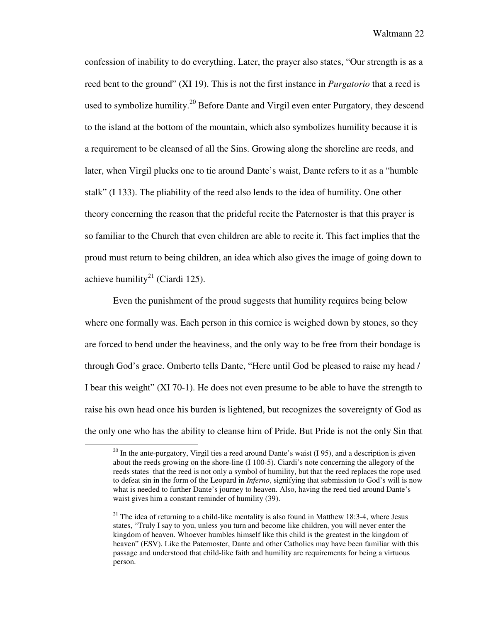confession of inability to do everything. Later, the prayer also states, "Our strength is as a reed bent to the ground" (XI 19). This is not the first instance in *Purgatorio* that a reed is used to symbolize humility.<sup>20</sup> Before Dante and Virgil even enter Purgatory, they descend to the island at the bottom of the mountain, which also symbolizes humility because it is a requirement to be cleansed of all the Sins. Growing along the shoreline are reeds, and later, when Virgil plucks one to tie around Dante's waist, Dante refers to it as a "humble stalk" (I 133). The pliability of the reed also lends to the idea of humility. One other theory concerning the reason that the prideful recite the Paternoster is that this prayer is so familiar to the Church that even children are able to recite it. This fact implies that the proud must return to being children, an idea which also gives the image of going down to achieve humility<sup>21</sup> (Ciardi 125).

Even the punishment of the proud suggests that humility requires being below where one formally was. Each person in this cornice is weighed down by stones, so they are forced to bend under the heaviness, and the only way to be free from their bondage is through God's grace. Omberto tells Dante, "Here until God be pleased to raise my head / I bear this weight" (XI 70-1). He does not even presume to be able to have the strength to raise his own head once his burden is lightened, but recognizes the sovereignty of God as the only one who has the ability to cleanse him of Pride. But Pride is not the only Sin that

 $20$  In the ante-purgatory, Virgil ties a reed around Dante's waist (I 95), and a description is given about the reeds growing on the shore-line (I 100-5). Ciardi's note concerning the allegory of the reeds states that the reed is not only a symbol of humility, but that the reed replaces the rope used to defeat sin in the form of the Leopard in *Inferno*, signifying that submission to God's will is now what is needed to further Dante's journey to heaven. Also, having the reed tied around Dante's waist gives him a constant reminder of humility (39).

<sup>&</sup>lt;sup>21</sup> The idea of returning to a child-like mentality is also found in Matthew 18:3-4, where Jesus states, "Truly I say to you, unless you turn and become like children, you will never enter the kingdom of heaven. Whoever humbles himself like this child is the greatest in the kingdom of heaven" (ESV). Like the Paternoster, Dante and other Catholics may have been familiar with this passage and understood that child-like faith and humility are requirements for being a virtuous person.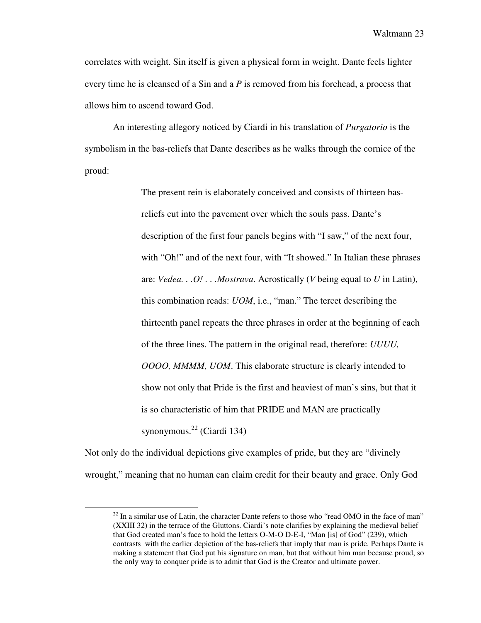correlates with weight. Sin itself is given a physical form in weight. Dante feels lighter every time he is cleansed of a Sin and a *P* is removed from his forehead, a process that allows him to ascend toward God.

An interesting allegory noticed by Ciardi in his translation of *Purgatorio* is the symbolism in the bas-reliefs that Dante describes as he walks through the cornice of the proud:

> The present rein is elaborately conceived and consists of thirteen basreliefs cut into the pavement over which the souls pass. Dante's description of the first four panels begins with "I saw," of the next four, with "Oh!" and of the next four, with "It showed." In Italian these phrases are: *Vedea. . .O! . . .Mostrava*. Acrostically (*V* being equal to *U* in Latin), this combination reads: *UOM*, i.e., "man." The tercet describing the thirteenth panel repeats the three phrases in order at the beginning of each of the three lines. The pattern in the original read, therefore: *UUUU, OOOO, MMMM, UOM*. This elaborate structure is clearly intended to show not only that Pride is the first and heaviest of man's sins, but that it is so characteristic of him that PRIDE and MAN are practically synonymous. $^{22}$  (Ciardi 134)

Not only do the individual depictions give examples of pride, but they are "divinely wrought," meaning that no human can claim credit for their beauty and grace. Only God

 $22$  In a similar use of Latin, the character Dante refers to those who "read OMO in the face of man" (XXIII 32) in the terrace of the Gluttons. Ciardi's note clarifies by explaining the medieval belief that God created man's face to hold the letters O-M-O D-E-I, "Man [is] of God" (239), which contrasts with the earlier depiction of the bas-reliefs that imply that man is pride. Perhaps Dante is making a statement that God put his signature on man, but that without him man because proud, so the only way to conquer pride is to admit that God is the Creator and ultimate power.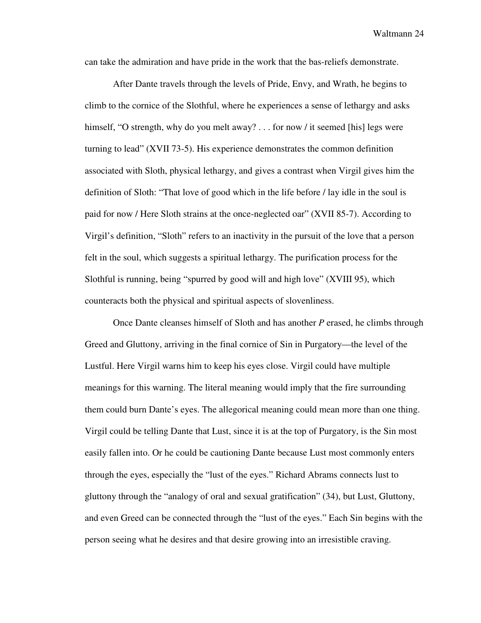can take the admiration and have pride in the work that the bas-reliefs demonstrate.

After Dante travels through the levels of Pride, Envy, and Wrath, he begins to climb to the cornice of the Slothful, where he experiences a sense of lethargy and asks himself, "O strength, why do you melt away? . . . for now / it seemed [his] legs were turning to lead" (XVII 73-5). His experience demonstrates the common definition associated with Sloth, physical lethargy, and gives a contrast when Virgil gives him the definition of Sloth: "That love of good which in the life before / lay idle in the soul is paid for now / Here Sloth strains at the once-neglected oar" (XVII 85-7). According to Virgil's definition, "Sloth" refers to an inactivity in the pursuit of the love that a person felt in the soul, which suggests a spiritual lethargy. The purification process for the Slothful is running, being "spurred by good will and high love" (XVIII 95), which counteracts both the physical and spiritual aspects of slovenliness.

 Once Dante cleanses himself of Sloth and has another *P* erased, he climbs through Greed and Gluttony, arriving in the final cornice of Sin in Purgatory—the level of the Lustful. Here Virgil warns him to keep his eyes close. Virgil could have multiple meanings for this warning. The literal meaning would imply that the fire surrounding them could burn Dante's eyes. The allegorical meaning could mean more than one thing. Virgil could be telling Dante that Lust, since it is at the top of Purgatory, is the Sin most easily fallen into. Or he could be cautioning Dante because Lust most commonly enters through the eyes, especially the "lust of the eyes." Richard Abrams connects lust to gluttony through the "analogy of oral and sexual gratification" (34), but Lust, Gluttony, and even Greed can be connected through the "lust of the eyes." Each Sin begins with the person seeing what he desires and that desire growing into an irresistible craving.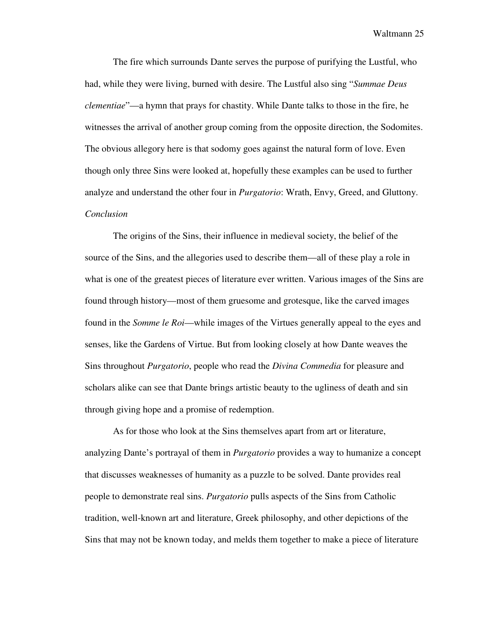The fire which surrounds Dante serves the purpose of purifying the Lustful, who had, while they were living, burned with desire. The Lustful also sing "*Summae Deus clementiae*"—a hymn that prays for chastity. While Dante talks to those in the fire, he witnesses the arrival of another group coming from the opposite direction, the Sodomites. The obvious allegory here is that sodomy goes against the natural form of love. Even though only three Sins were looked at, hopefully these examples can be used to further analyze and understand the other four in *Purgatorio*: Wrath, Envy, Greed, and Gluttony. *Conclusion* 

 The origins of the Sins, their influence in medieval society, the belief of the source of the Sins, and the allegories used to describe them—all of these play a role in what is one of the greatest pieces of literature ever written. Various images of the Sins are found through history—most of them gruesome and grotesque, like the carved images found in the *Somme le Roi*—while images of the Virtues generally appeal to the eyes and senses, like the Gardens of Virtue. But from looking closely at how Dante weaves the Sins throughout *Purgatorio*, people who read the *Divina Commedia* for pleasure and scholars alike can see that Dante brings artistic beauty to the ugliness of death and sin through giving hope and a promise of redemption.

 As for those who look at the Sins themselves apart from art or literature, analyzing Dante's portrayal of them in *Purgatorio* provides a way to humanize a concept that discusses weaknesses of humanity as a puzzle to be solved. Dante provides real people to demonstrate real sins. *Purgatorio* pulls aspects of the Sins from Catholic tradition, well-known art and literature, Greek philosophy, and other depictions of the Sins that may not be known today, and melds them together to make a piece of literature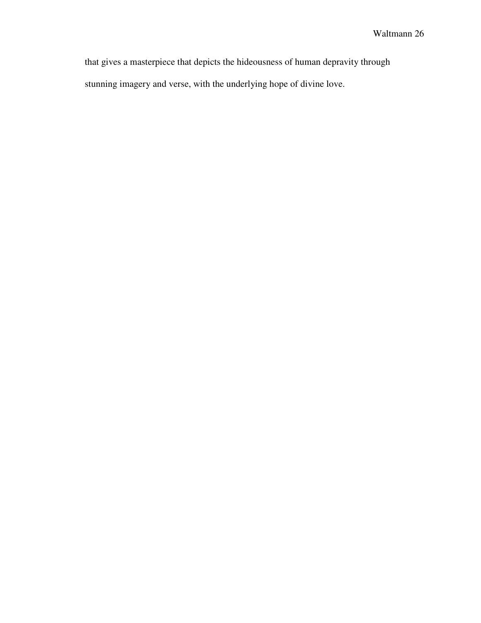that gives a masterpiece that depicts the hideousness of human depravity through stunning imagery and verse, with the underlying hope of divine love.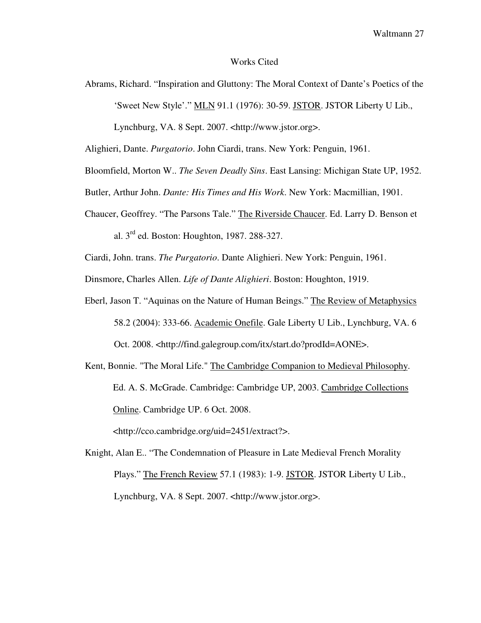## Works Cited

Abrams, Richard. "Inspiration and Gluttony: The Moral Context of Dante's Poetics of the 'Sweet New Style'." MLN 91.1 (1976): 30-59. JSTOR. JSTOR Liberty U Lib.,

Lynchburg, VA. 8 Sept. 2007. <http://www.jstor.org>.

Alighieri, Dante. *Purgatorio*. John Ciardi, trans. New York: Penguin, 1961.

Bloomfield, Morton W.. *The Seven Deadly Sins*. East Lansing: Michigan State UP, 1952.

- Butler, Arthur John. *Dante: His Times and His Work*. New York: Macmillian, 1901.
- Chaucer, Geoffrey. "The Parsons Tale." The Riverside Chaucer. Ed. Larry D. Benson et al.  $3<sup>rd</sup>$  ed. Boston: Houghton, 1987, 288-327.

Ciardi, John. trans. *The Purgatorio*. Dante Alighieri. New York: Penguin, 1961.

Dinsmore, Charles Allen. *Life of Dante Alighieri*. Boston: Houghton, 1919.

- Eberl, Jason T. "Aquinas on the Nature of Human Beings." The Review of Metaphysics 58.2 (2004): 333-66. Academic Onefile. Gale Liberty U Lib., Lynchburg, VA. 6 Oct. 2008. <http://find.galegroup.com/itx/start.do?prodId=AONE>.
- Kent, Bonnie. "The Moral Life." The Cambridge Companion to Medieval Philosophy. Ed. A. S. McGrade. Cambridge: Cambridge UP, 2003. Cambridge Collections Online. Cambridge UP. 6 Oct. 2008.

<http://cco.cambridge.org/uid=2451/extract?>.

Knight, Alan E.. "The Condemnation of Pleasure in Late Medieval French Morality Plays." The French Review 57.1 (1983): 1-9. JSTOR. JSTOR Liberty U Lib., Lynchburg, VA. 8 Sept. 2007. <http://www.jstor.org>.